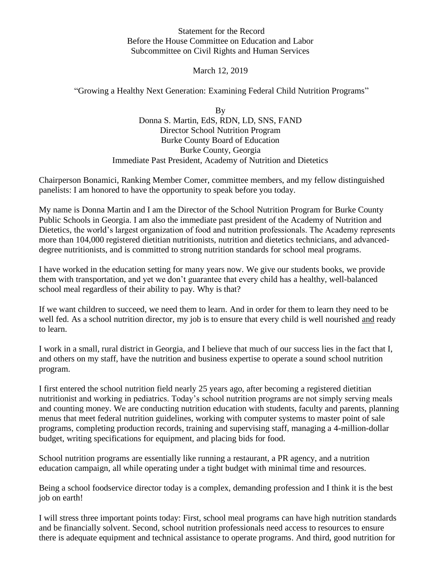Statement for the Record Before the House Committee on Education and Labor Subcommittee on Civil Rights and Human Services

March 12, 2019

"Growing a Healthy Next Generation: Examining Federal Child Nutrition Programs"

By Donna S. Martin, EdS, RDN, LD, SNS, FAND Director School Nutrition Program Burke County Board of Education Burke County, Georgia Immediate Past President, Academy of Nutrition and Dietetics

Chairperson Bonamici, Ranking Member Comer, committee members, and my fellow distinguished panelists: I am honored to have the opportunity to speak before you today.

My name is Donna Martin and I am the Director of the School Nutrition Program for Burke County Public Schools in Georgia. I am also the immediate past president of the Academy of Nutrition and Dietetics, the world's largest organization of food and nutrition professionals. The Academy represents more than 104,000 registered dietitian nutritionists, nutrition and dietetics technicians, and advanceddegree nutritionists, and is committed to strong nutrition standards for school meal programs.

I have worked in the education setting for many years now. We give our students books, we provide them with transportation, and yet we don't guarantee that every child has a healthy, well-balanced school meal regardless of their ability to pay. Why is that?

If we want children to succeed, we need them to learn. And in order for them to learn they need to be well fed. As a school nutrition director, my job is to ensure that every child is well nourished and ready to learn.

I work in a small, rural district in Georgia, and I believe that much of our success lies in the fact that I, and others on my staff, have the nutrition and business expertise to operate a sound school nutrition program.

I first entered the school nutrition field nearly 25 years ago, after becoming a registered dietitian nutritionist and working in pediatrics. Today's school nutrition programs are not simply serving meals and counting money. We are conducting nutrition education with students, faculty and parents, planning menus that meet federal nutrition guidelines, working with computer systems to master point of sale programs, completing production records, training and supervising staff, managing a 4-million-dollar budget, writing specifications for equipment, and placing bids for food.

School nutrition programs are essentially like running a restaurant, a PR agency, and a nutrition education campaign, all while operating under a tight budget with minimal time and resources.

Being a school foodservice director today is a complex, demanding profession and I think it is the best job on earth!

I will stress three important points today: First, school meal programs can have high nutrition standards and be financially solvent. Second, school nutrition professionals need access to resources to ensure there is adequate equipment and technical assistance to operate programs. And third, good nutrition for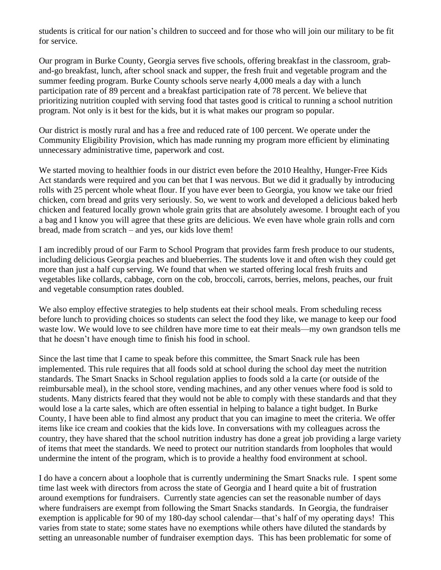students is critical for our nation's children to succeed and for those who will join our military to be fit for service.

Our program in Burke County, Georgia serves five schools, offering breakfast in the classroom, graband-go breakfast, lunch, after school snack and supper, the fresh fruit and vegetable program and the summer feeding program. Burke County schools serve nearly 4,000 meals a day with a lunch participation rate of 89 percent and a breakfast participation rate of 78 percent. We believe that prioritizing nutrition coupled with serving food that tastes good is critical to running a school nutrition program. Not only is it best for the kids, but it is what makes our program so popular.

Our district is mostly rural and has a free and reduced rate of 100 percent. We operate under the Community Eligibility Provision, which has made running my program more efficient by eliminating unnecessary administrative time, paperwork and cost.

We started moving to healthier foods in our district even before the 2010 Healthy, Hunger-Free Kids Act standards were required and you can bet that I was nervous. But we did it gradually by introducing rolls with 25 percent whole wheat flour. If you have ever been to Georgia, you know we take our fried chicken, corn bread and grits very seriously. So, we went to work and developed a delicious baked herb chicken and featured locally grown whole grain grits that are absolutely awesome. I brought each of you a bag and I know you will agree that these grits are delicious. We even have whole grain rolls and corn bread, made from scratch – and yes, our kids love them!

I am incredibly proud of our Farm to School Program that provides farm fresh produce to our students, including delicious Georgia peaches and blueberries. The students love it and often wish they could get more than just a half cup serving. We found that when we started offering local fresh fruits and vegetables like collards, cabbage, corn on the cob, broccoli, carrots, berries, melons, peaches, our fruit and vegetable consumption rates doubled.

We also employ effective strategies to help students eat their school meals. From scheduling recess before lunch to providing choices so students can select the food they like, we manage to keep our food waste low. We would love to see children have more time to eat their meals—my own grandson tells me that he doesn't have enough time to finish his food in school.

Since the last time that I came to speak before this committee, the Smart Snack rule has been implemented. This rule requires that all foods sold at school during the school day meet the nutrition standards. The Smart Snacks in School regulation applies to foods sold a la carte (or outside of the reimbursable meal), in the school store, vending machines, and any other venues where food is sold to students. Many districts feared that they would not be able to comply with these standards and that they would lose a la carte sales, which are often essential in helping to balance a tight budget. In Burke County, I have been able to find almost any product that you can imagine to meet the criteria. We offer items like ice cream and cookies that the kids love. In conversations with my colleagues across the country, they have shared that the school nutrition industry has done a great job providing a large variety of items that meet the standards. We need to protect our nutrition standards from loopholes that would undermine the intent of the program, which is to provide a healthy food environment at school.

I do have a concern about a loophole that is currently undermining the Smart Snacks rule. I spent some time last week with directors from across the state of Georgia and I heard quite a bit of frustration around exemptions for fundraisers. Currently state agencies can set the reasonable number of days where fundraisers are exempt from following the Smart Snacks standards. In Georgia, the fundraiser exemption is applicable for 90 of my 180-day school calendar—that's half of my operating days! This varies from state to state; some states have no exemptions while others have diluted the standards by setting an unreasonable number of fundraiser exemption days. This has been problematic for some of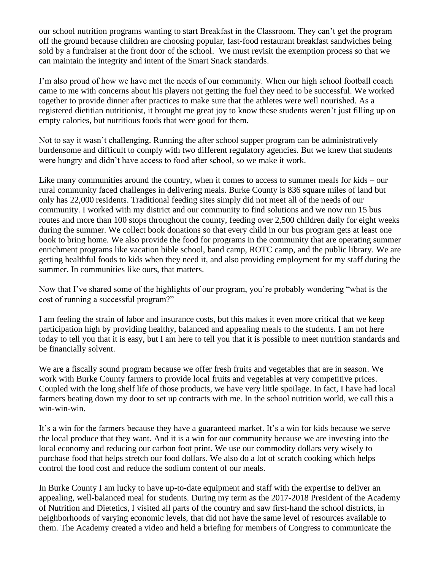our school nutrition programs wanting to start Breakfast in the Classroom. They can't get the program off the ground because children are choosing popular, fast-food restaurant breakfast sandwiches being sold by a fundraiser at the front door of the school. We must revisit the exemption process so that we can maintain the integrity and intent of the Smart Snack standards.

I'm also proud of how we have met the needs of our community. When our high school football coach came to me with concerns about his players not getting the fuel they need to be successful. We worked together to provide dinner after practices to make sure that the athletes were well nourished. As a registered dietitian nutritionist, it brought me great joy to know these students weren't just filling up on empty calories, but nutritious foods that were good for them.

Not to say it wasn't challenging. Running the after school supper program can be administratively burdensome and difficult to comply with two different regulatory agencies. But we knew that students were hungry and didn't have access to food after school, so we make it work.

Like many communities around the country, when it comes to access to summer meals for kids – our rural community faced challenges in delivering meals. Burke County is 836 square miles of land but only has 22,000 residents. Traditional feeding sites simply did not meet all of the needs of our community. I worked with my district and our community to find solutions and we now run 15 bus routes and more than 100 stops throughout the county, feeding over 2,500 children daily for eight weeks during the summer. We collect book donations so that every child in our bus program gets at least one book to bring home. We also provide the food for programs in the community that are operating summer enrichment programs like vacation bible school, band camp, ROTC camp, and the public library. We are getting healthful foods to kids when they need it, and also providing employment for my staff during the summer. In communities like ours, that matters.

Now that I've shared some of the highlights of our program, you're probably wondering "what is the cost of running a successful program?"

I am feeling the strain of labor and insurance costs, but this makes it even more critical that we keep participation high by providing healthy, balanced and appealing meals to the students. I am not here today to tell you that it is easy, but I am here to tell you that it is possible to meet nutrition standards and be financially solvent.

We are a fiscally sound program because we offer fresh fruits and vegetables that are in season. We work with Burke County farmers to provide local fruits and vegetables at very competitive prices. Coupled with the long shelf life of those products, we have very little spoilage. In fact, I have had local farmers beating down my door to set up contracts with me. In the school nutrition world, we call this a win-win-win.

It's a win for the farmers because they have a guaranteed market. It's a win for kids because we serve the local produce that they want. And it is a win for our community because we are investing into the local economy and reducing our carbon foot print. We use our commodity dollars very wisely to purchase food that helps stretch our food dollars. We also do a lot of scratch cooking which helps control the food cost and reduce the sodium content of our meals.

In Burke County I am lucky to have up-to-date equipment and staff with the expertise to deliver an appealing, well-balanced meal for students. During my term as the 2017-2018 President of the Academy of Nutrition and Dietetics, I visited all parts of the country and saw first-hand the school districts, in neighborhoods of varying economic levels, that did not have the same level of resources available to them. The Academy created a video and held a briefing for members of Congress to communicate the